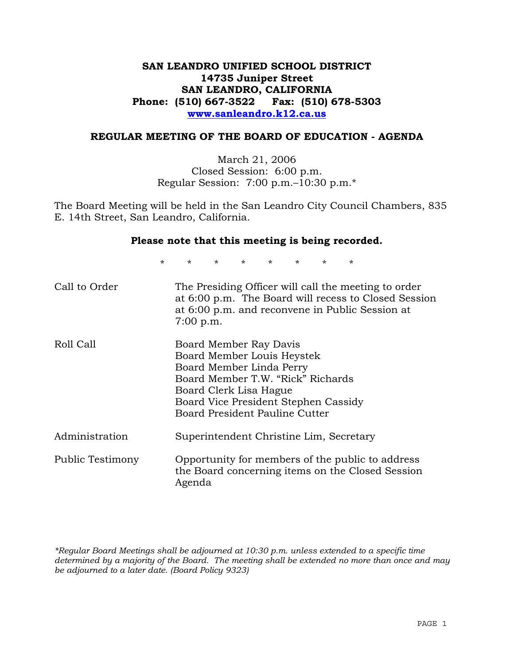## **SAN LEANDRO UNIFIED SCHOOL DISTRICT 14735 Juniper Street SAN LEANDRO, CALIFORNIA Phone: (510) 667-3522 Fax: (510) 678-5303 www.sanleandro.k12.ca.us**

## **REGULAR MEETING OF THE BOARD OF EDUCATION - AGENDA**

March 21, 2006 Closed Session: 6:00 p.m. Regular Session: 7:00 p.m.–10:30 p.m.\*

The Board Meeting will be held in the San Leandro City Council Chambers, 835 E. 14th Street, San Leandro, California.

#### **Please note that this meeting is being recorded.**

\* \* \* \* \* \* \* \*

| Call to Order    | The Presiding Officer will call the meeting to order<br>at 6:00 p.m. The Board will recess to Closed Session<br>at 6:00 p.m. and reconvene in Public Session at<br>$7:00$ p.m.                                            |
|------------------|---------------------------------------------------------------------------------------------------------------------------------------------------------------------------------------------------------------------------|
| Roll Call        | Board Member Ray Davis<br>Board Member Louis Heystek<br>Board Member Linda Perry<br>Board Member T.W. "Rick" Richards<br>Board Clerk Lisa Hague<br>Board Vice President Stephen Cassidy<br>Board President Pauline Cutter |
| Administration   | Superintendent Christine Lim, Secretary                                                                                                                                                                                   |
| Public Testimony | Opportunity for members of the public to address<br>the Board concerning items on the Closed Session<br>Agenda                                                                                                            |

*\*Regular Board Meetings shall be adjourned at 10:30 p.m. unless extended to a specific time determined by a majority of the Board. The meeting shall be extended no more than once and may be adjourned to a later date. (Board Policy 9323)*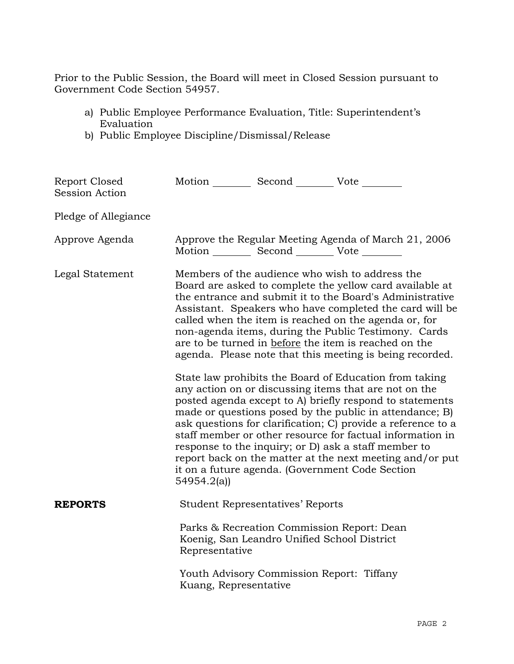Prior to the Public Session, the Board will meet in Closed Session pursuant to Government Code Section 54957.

- a) Public Employee Performance Evaluation, Title: Superintendent's Evaluation
- b) Public Employee Discipline/Dismissal/Release

| Report Closed<br>Session Action | Motion __________ Second __________ Vote ________                                                                                                                                                                                                                                                                                                                                                                                                                        |                                                                                                                                                                                                                                                                                                                                                                                                                                                                                                                                            |  |  |  |
|---------------------------------|--------------------------------------------------------------------------------------------------------------------------------------------------------------------------------------------------------------------------------------------------------------------------------------------------------------------------------------------------------------------------------------------------------------------------------------------------------------------------|--------------------------------------------------------------------------------------------------------------------------------------------------------------------------------------------------------------------------------------------------------------------------------------------------------------------------------------------------------------------------------------------------------------------------------------------------------------------------------------------------------------------------------------------|--|--|--|
| Pledge of Allegiance            |                                                                                                                                                                                                                                                                                                                                                                                                                                                                          |                                                                                                                                                                                                                                                                                                                                                                                                                                                                                                                                            |  |  |  |
| Approve Agenda                  | Approve the Regular Meeting Agenda of March 21, 2006<br>Motion __________ Second __________ Vote ________                                                                                                                                                                                                                                                                                                                                                                |                                                                                                                                                                                                                                                                                                                                                                                                                                                                                                                                            |  |  |  |
| Legal Statement                 | Members of the audience who wish to address the<br>Board are asked to complete the yellow card available at<br>the entrance and submit it to the Board's Administrative<br>Assistant. Speakers who have completed the card will be<br>called when the item is reached on the agenda or, for<br>non-agenda items, during the Public Testimony. Cards<br>are to be turned in before the item is reached on the<br>agenda. Please note that this meeting is being recorded. |                                                                                                                                                                                                                                                                                                                                                                                                                                                                                                                                            |  |  |  |
|                                 | 54954.2(a)                                                                                                                                                                                                                                                                                                                                                                                                                                                               | State law prohibits the Board of Education from taking<br>any action on or discussing items that are not on the<br>posted agenda except to A) briefly respond to statements<br>made or questions posed by the public in attendance; B)<br>ask questions for clarification; C) provide a reference to a<br>staff member or other resource for factual information in<br>response to the inquiry; or D) ask a staff member to<br>report back on the matter at the next meeting and/or put<br>it on a future agenda. (Government Code Section |  |  |  |
| <b>REPORTS</b>                  |                                                                                                                                                                                                                                                                                                                                                                                                                                                                          | <b>Student Representatives' Reports</b>                                                                                                                                                                                                                                                                                                                                                                                                                                                                                                    |  |  |  |
|                                 | Representative                                                                                                                                                                                                                                                                                                                                                                                                                                                           | Parks & Recreation Commission Report: Dean<br>Koenig, San Leandro Unified School District                                                                                                                                                                                                                                                                                                                                                                                                                                                  |  |  |  |
|                                 | Kuang, Representative                                                                                                                                                                                                                                                                                                                                                                                                                                                    | Youth Advisory Commission Report: Tiffany                                                                                                                                                                                                                                                                                                                                                                                                                                                                                                  |  |  |  |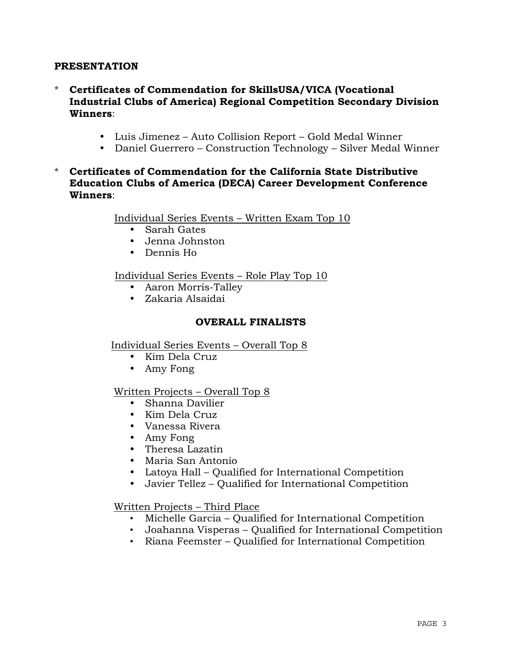## **PRESENTATION**

- \* **Certificates of Commendation for SkillsUSA/VICA (Vocational Industrial Clubs of America) Regional Competition Secondary Division Winners**:
	- Luis Jimenez Auto Collision Report Gold Medal Winner
	- Daniel Guerrero Construction Technology Silver Medal Winner
- \* **Certificates of Commendation for the California State Distributive Education Clubs of America (DECA) Career Development Conference Winners**:

Individual Series Events – Written Exam Top 10

- Sarah Gates
- Jenna Johnston
- Dennis Ho

Individual Series Events – Role Play Top 10

- Aaron Morris-Talley
- Zakaria Alsaidai

## **OVERALL FINALISTS**

Individual Series Events – Overall Top 8

- Kim Dela Cruz
- Amy Fong

## Written Projects – Overall Top 8

- Shanna Davilier
- Kim Dela Cruz
- Vanessa Rivera
- Amy Fong
- Theresa Lazatin
- Maria San Antonio
- Latoya Hall Qualified for International Competition
- Javier Tellez Qualified for International Competition

Written Projects – Third Place

- Michelle Garcia Qualified for International Competition
- Joahanna Visperas Qualified for International Competition
- Riana Feemster Qualified for International Competition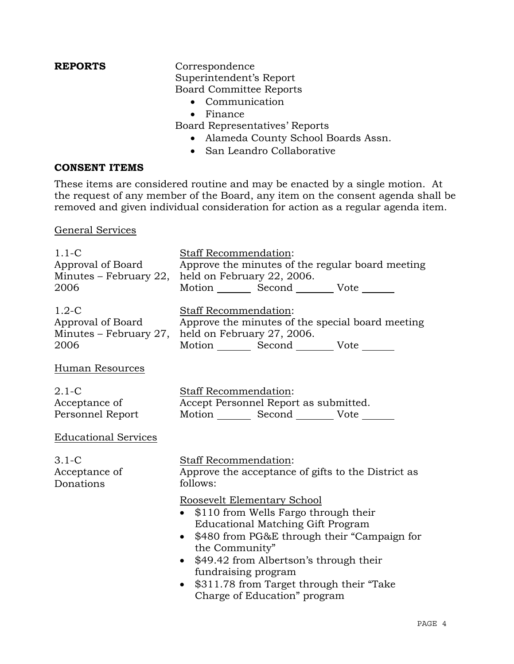# **REPORTS** Correspondence

 Superintendent's Report Board Committee Reports

- Communication
- Finance

Board Representatives' Reports

- Alameda County School Boards Assn.
- San Leandro Collaborative

## **CONSENT ITEMS**

These items are considered routine and may be enacted by a single motion. At the request of any member of the Board, any item on the consent agenda shall be removed and given individual consideration for action as a regular agenda item.

General Services

| $1.1-C$                     | <b>Staff Recommendation:</b>                                                                                                                                                                                                                                                                                                                |  |  |  |
|-----------------------------|---------------------------------------------------------------------------------------------------------------------------------------------------------------------------------------------------------------------------------------------------------------------------------------------------------------------------------------------|--|--|--|
| Approval of Board           | Approve the minutes of the regular board meeting                                                                                                                                                                                                                                                                                            |  |  |  |
| Minutes – February 22,      | held on February 22, 2006.                                                                                                                                                                                                                                                                                                                  |  |  |  |
| 2006                        | Motion _________ Second __________ Vote _______                                                                                                                                                                                                                                                                                             |  |  |  |
| $1.2-C$                     | Staff Recommendation:                                                                                                                                                                                                                                                                                                                       |  |  |  |
| Approval of Board           | Approve the minutes of the special board meeting                                                                                                                                                                                                                                                                                            |  |  |  |
| Minutes - February 27,      | held on February 27, 2006.                                                                                                                                                                                                                                                                                                                  |  |  |  |
| 2006                        | Motion _________ Second __________ Vote _______                                                                                                                                                                                                                                                                                             |  |  |  |
| Human Resources             |                                                                                                                                                                                                                                                                                                                                             |  |  |  |
| $2.1 - C$                   | Staff Recommendation:                                                                                                                                                                                                                                                                                                                       |  |  |  |
| Acceptance of               | Accept Personnel Report as submitted.                                                                                                                                                                                                                                                                                                       |  |  |  |
| Personnel Report            | Motion _________ Second __________ Vote _______                                                                                                                                                                                                                                                                                             |  |  |  |
| <b>Educational Services</b> |                                                                                                                                                                                                                                                                                                                                             |  |  |  |
| $3.1-C$                     | Staff Recommendation:                                                                                                                                                                                                                                                                                                                       |  |  |  |
| Acceptance of               | Approve the acceptance of gifts to the District as                                                                                                                                                                                                                                                                                          |  |  |  |
| Donations                   | follows:                                                                                                                                                                                                                                                                                                                                    |  |  |  |
|                             | Roosevelt Elementary School<br>\$110 from Wells Fargo through their<br><b>Educational Matching Gift Program</b><br>\$480 from PG&E through their "Campaign for<br>the Community"<br>\$49.42 from Albertson's through their<br>fundraising program<br>\$311.78 from Target through their "Take"<br>$\bullet$<br>Charge of Education" program |  |  |  |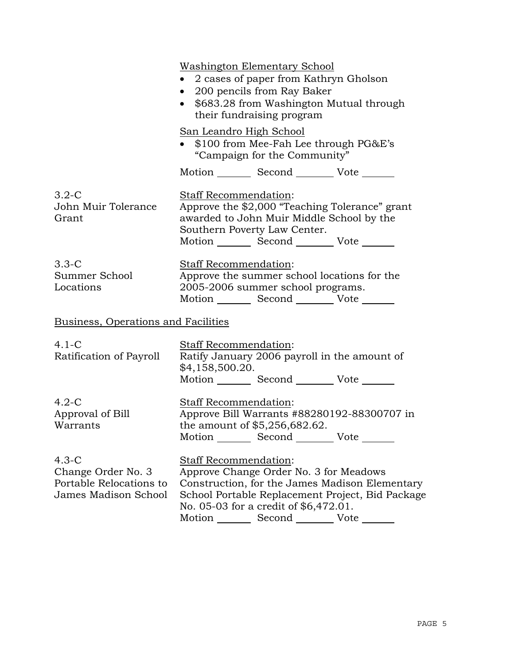|                                                                                  | Washington Elementary School<br>2 cases of paper from Kathryn Gholson<br>200 pencils from Ray Baker<br>\$683.28 from Washington Mutual through<br>$\bullet$<br>their fundraising program |                                                                                                                                                |                                                                                                    |  |
|----------------------------------------------------------------------------------|------------------------------------------------------------------------------------------------------------------------------------------------------------------------------------------|------------------------------------------------------------------------------------------------------------------------------------------------|----------------------------------------------------------------------------------------------------|--|
|                                                                                  | San Leandro High School<br>• $$100$ from Mee-Fah Lee through PG&E's<br>"Campaign for the Community"                                                                                      |                                                                                                                                                |                                                                                                    |  |
|                                                                                  |                                                                                                                                                                                          | Motion _________ Second ___________ Vote _______                                                                                               |                                                                                                    |  |
| $3.2 - C$<br>John Muir Tolerance<br>Grant                                        | Staff Recommendation:<br>Southern Poverty Law Center.                                                                                                                                    | Approve the \$2,000 "Teaching Tolerance" grant<br>awarded to John Muir Middle School by the<br>Motion _________ Second __________ Vote _______ |                                                                                                    |  |
| $3.3 - C$<br>Summer School<br>Locations                                          | Staff Recommendation:<br>Approve the summer school locations for the<br>2005-2006 summer school programs.<br>Motion _________ Second __________ Vote _______                             |                                                                                                                                                |                                                                                                    |  |
| Business, Operations and Facilities                                              |                                                                                                                                                                                          |                                                                                                                                                |                                                                                                    |  |
| $4.1-C$<br>Ratification of Payroll                                               | Staff Recommendation:<br>\$4,158,500.20.                                                                                                                                                 | Ratify January 2006 payroll in the amount of<br>Motion _________ Second __________ Vote _______                                                |                                                                                                    |  |
| $4.2-C$<br>Approval of Bill<br>Warrants                                          | Staff Recommendation:<br>the amount of $$5,256,682.62$ .                                                                                                                                 | Motion Second Vote                                                                                                                             | Approve Bill Warrants #88280192-88300707 in                                                        |  |
| $4.3-C$<br>Change Order No. 3<br>Portable Relocations to<br>James Madison School | Staff Recommendation:                                                                                                                                                                    | Approve Change Order No. 3 for Meadows<br>No. 05-03 for a credit of \$6,472.01.<br>Motion _________ Second ___________ Vote _______            | Construction, for the James Madison Elementary<br>School Portable Replacement Project, Bid Package |  |